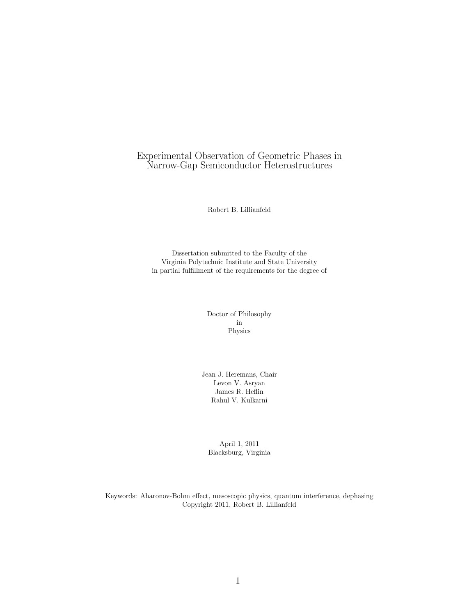## Experimental Observation of Geometric Phases in Narrow-Gap Semiconductor Heterostructures

Robert B. Lillianfeld

Dissertation submitted to the Faculty of the Virginia Polytechnic Institute and State University in partial fulfillment of the requirements for the degree of

> Doctor of Philosophy in Physics

Jean J. Heremans, Chair Levon V. Asryan James R. Heflin Rahul V. Kulkarni

April 1, 2011 Blacksburg, Virginia

Keywords: Aharonov-Bohm effect, mesoscopic physics, quantum interference, dephasing Copyright 2011, Robert B. Lillianfeld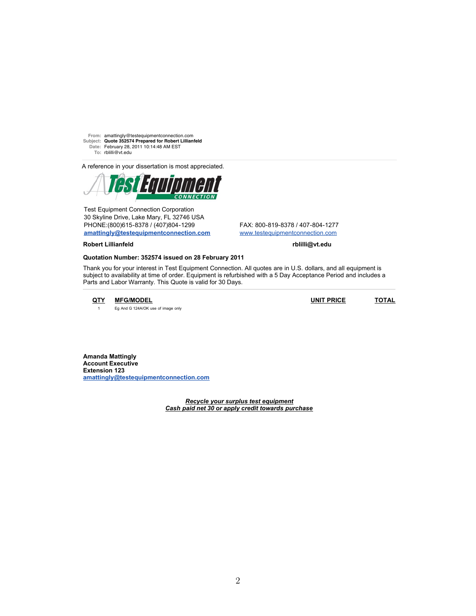**From:** amattingly@testequipmentconnection.com **Subject: Quote 352574 Prepared for Robert Lillianfeld Date:** February 28, 2011 10:14:48 AM EST **To:** rblilli@vt.edu

A reference in your dissertation is most appreciated.



Test Equipment Connection Corporation 30 Skyline Drive, Lake Mary, FL 32746 USA PHONE:(800)615-8378 / (407)804-1299 FAX: 800-819-8378 / 407-804-1277 **amattingly@testequipmentconnection.com** www.testequipmentconnection.com

**Robert Lillianfeld rblilli@vt.edu**

## **Quotation Number: 352574 issued on 28 February 2011**

Thank you for your interest in Test Equipment Connection. All quotes are in U.S. dollars, and all equipment is subject to availability at time of order. Equipment is refurbished with a 5 Day Acceptance Period and includes a Parts and Labor Warranty. This Quote is valid for 30 Days.

1 Eg And G 124A/OK use of image only

**QTY MFG/MODEL UNIT PRICE TOTAL**

**Amanda Mattingly Account Executive Extension 123 amattingly@testequipmentconnection.com**

> *Recycle your surplus test equipment Cash paid net 30 or apply credit towards purchase*